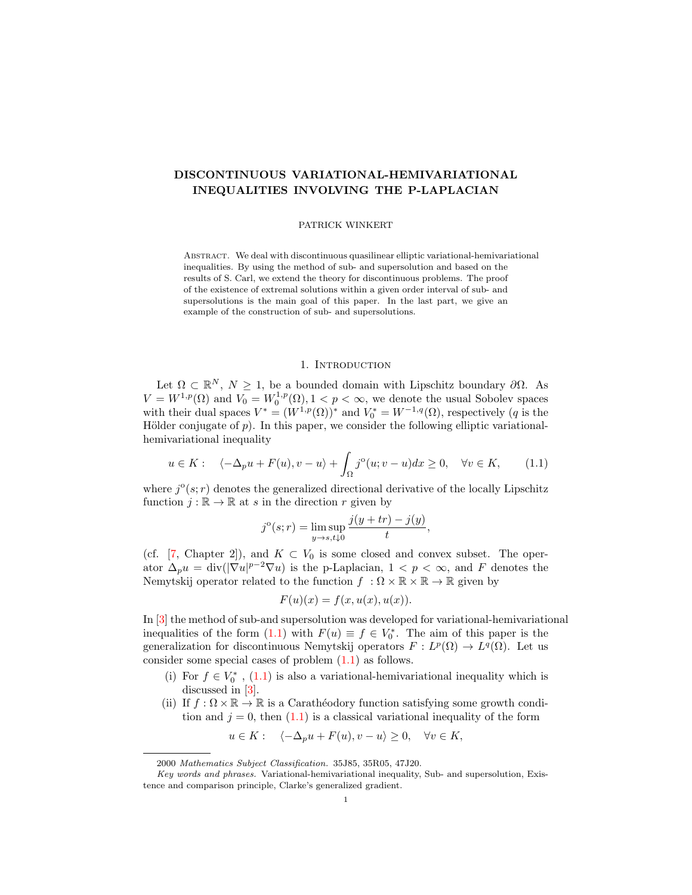# DISCONTINUOUS VARIATIONAL-HEMIVARIATIONAL INEQUALITIES INVOLVING THE P-LAPLACIAN

#### PATRICK WINKERT

Abstract. We deal with discontinuous quasilinear elliptic variational-hemivariational inequalities. By using the method of sub- and supersolution and based on the results of S. Carl, we extend the theory for discontinuous problems. The proof of the existence of extremal solutions within a given order interval of sub- and supersolutions is the main goal of this paper. In the last part, we give an example of the construction of sub- and supersolutions.

## <span id="page-0-0"></span>1. INTRODUCTION

Let  $\Omega \subset \mathbb{R}^N$ ,  $N \geq 1$ , be a bounded domain with Lipschitz boundary  $\partial \Omega$ . As  $V = W^{1,p}(\Omega)$  and  $V_0 = W_0^{1,p}(\Omega), 1 \le p \le \infty$ , we denote the usual Sobolev spaces with their dual spaces  $V^* = (W^{1,p}(\Omega))^*$  and  $V_0^* = W^{-1,q}(\Omega)$ , respectively (q is the Hölder conjugate of p). In this paper, we consider the following elliptic variationalhemivariational inequality

$$
u \in K: \quad \langle -\Delta_p u + F(u), v - u \rangle + \int_{\Omega} j^{\circ}(u; v - u) dx \ge 0, \quad \forall v \in K, \tag{1.1}
$$

where  $j^{\circ}(s; r)$  denotes the generalized directional derivative of the locally Lipschitz function  $j : \mathbb{R} \to \mathbb{R}$  at s in the direction r given by

$$
j^{o}(s;r) = \limsup_{y \to s, t \downarrow 0} \frac{j(y + tr) - j(y)}{t},
$$

(cf. [\[7,](#page-8-0) Chapter 2]), and  $K \subset V_0$  is some closed and convex subset. The operator  $\Delta_p u = \text{div}(|\nabla u|^{p-2} \nabla u)$  is the p-Laplacian,  $1 \leq p \leq \infty$ , and F denotes the Nemytskij operator related to the function  $f : \Omega \times \mathbb{R} \times \mathbb{R} \to \mathbb{R}$  given by

$$
F(u)(x) = f(x, u(x), u(x)).
$$

In [\[3\]](#page-8-1) the method of sub-and supersolution was developed for variational-hemivariational inequalities of the form [\(1.1\)](#page-0-0) with  $F(u) \equiv f \in V_0^*$ . The aim of this paper is the generalization for discontinuous Nemytskij operators  $F: L^p(\Omega) \to L^q(\Omega)$ . Let us consider some special cases of problem [\(1.1\)](#page-0-0) as follows.

- (i) For  $f \in V_0^*$ ,  $(1.1)$  is also a variational-hemivariational inequality which is discussed in [\[3\]](#page-8-1).
- (ii) If  $f : \Omega \times \mathbb{R} \to \mathbb{R}$  is a Carathéodory function satisfying some growth condition and  $j = 0$ , then  $(1.1)$  is a classical variational inequality of the form

$$
u \in K:
$$
  $\langle -\Delta_p u + F(u), v - u \rangle \ge 0, \quad \forall v \in K,$ 

<sup>2000</sup> Mathematics Subject Classification. 35J85, 35R05, 47J20.

Key words and phrases. Variational-hemivariational inequality, Sub- and supersolution, Existence and comparison principle, Clarke's generalized gradient.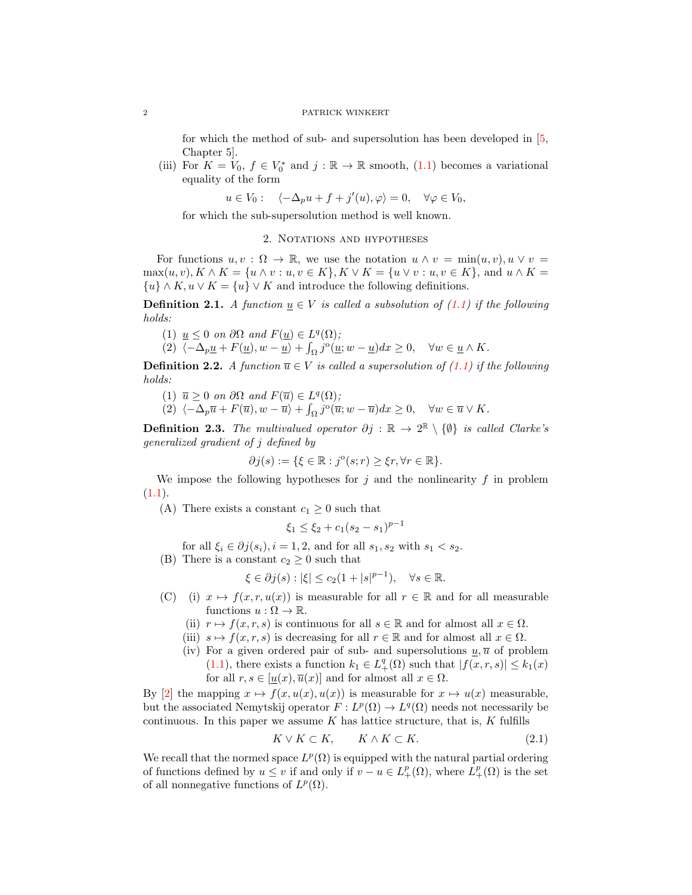for which the method of sub- and supersolution has been developed in [\[5,](#page-8-2) Chapter 5].

(iii) For  $K = V_0$ ,  $f \in V_0^*$  and  $j : \mathbb{R} \to \mathbb{R}$  smooth, [\(1.1\)](#page-0-0) becomes a variational equality of the form

 $u \in V_0: \quad \langle -\Delta_p u + f + j'(u), \varphi \rangle = 0, \quad \forall \varphi \in V_0,$ 

for which the sub-supersolution method is well known.

## 2. Notations and hypotheses

For functions  $u, v : \Omega \to \mathbb{R}$ , we use the notation  $u \wedge v = \min(u, v), u \vee v =$  $\max(u, v), K \wedge K = \{u \wedge v : u, v \in K\}, K \vee K = \{u \vee v : u, v \in K\}, \text{ and } u \wedge K =$  $\{u\} \wedge K, u \vee K = \{u\} \vee K$  and introduce the following definitions.

<span id="page-1-1"></span>**Definition 2.1.** A function  $\underline{u} \in V$  is called a subsolution of [\(1.1\)](#page-0-0) if the following holds:

- (1)  $\underline{u} \leq 0$  on  $\partial\Omega$  and  $F(\underline{u}) \in L^q(\Omega)$ ;
- (2)  $\langle -\Delta_p \underline{u} + F(\underline{u}), w \underline{u} \rangle + \int_{\Omega} j^{\circ}(\underline{u}; w \underline{u}) dx \ge 0, \quad \forall w \in \underline{u} \wedge K.$

<span id="page-1-2"></span>**Definition 2.2.** A function  $\overline{u} \in V$  is called a supersolution of [\(1.1\)](#page-0-0) if the following holds:

- (1)  $\overline{u} \geq 0$  on  $\partial\Omega$  and  $F(\overline{u}) \in L^q(\Omega)$ ;
- (2)  $\langle -\Delta_p\overline{u} + F(\overline{u}), w \overline{u} \rangle + \int_{\Omega} j^{\circ}(\overline{u}; w \overline{u})dx \geq 0, \quad \forall w \in \overline{u} \vee K.$

**Definition 2.3.** The multivalued operator  $\partial j : \mathbb{R} \to 2^{\mathbb{R}} \setminus {\emptyset}$  is called Clarke's generalized gradient of j defined by

$$
\partial j(s) := \{ \xi \in \mathbb{R} : j^{\circ}(s; r) \geq \xi r, \forall r \in \mathbb{R} \}.
$$

We impose the following hypotheses for  $j$  and the nonlinearity  $f$  in problem  $(1.1).$  $(1.1).$ 

(A) There exists a constant  $c_1 \geq 0$  such that

$$
\xi_1 \le \xi_2 + c_1(s_2 - s_1)^{p-1}
$$

for all  $\xi_i \in \partial j(s_i), i = 1, 2$ , and for all  $s_1, s_2$  with  $s_1 < s_2$ .

(B) There is a constant  $c_2 \geq 0$  such that

$$
\xi \in \partial j(s) : |\xi| \le c_2(1+|s|^{p-1}), \quad \forall s \in \mathbb{R}.
$$

- (C) (i)  $x \mapsto f(x, r, u(x))$  is measurable for all  $r \in \mathbb{R}$  and for all measurable functions  $u : \Omega \to \mathbb{R}$ .
	- (ii)  $r \mapsto f(x, r, s)$  is continuous for all  $s \in \mathbb{R}$  and for almost all  $x \in \Omega$ .
	- (iii)  $s \mapsto f(x, r, s)$  is decreasing for all  $r \in \mathbb{R}$  and for almost all  $x \in \Omega$ .
	- (iv) For a given ordered pair of sub- and supersolutions  $u, \overline{u}$  of problem [\(1.1\)](#page-0-0), there exists a function  $k_1 \in L_+^q(\Omega)$  such that  $|f(x,r,s)| \leq k_1(x)$ for all  $r, s \in [\underline{u}(x), \overline{u}(x)]$  and for almost all  $x \in \Omega$ .

By [\[2\]](#page-8-3) the mapping  $x \mapsto f(x, u(x), u(x))$  is measurable for  $x \mapsto u(x)$  measurable, but the associated Nemytskij operator  $F: L^p(\Omega) \to L^q(\Omega)$  needs not necessarily be continuous. In this paper we assume  $K$  has lattice structure, that is,  $K$  fulfills

<span id="page-1-0"></span>
$$
K \vee K \subset K, \qquad K \wedge K \subset K. \tag{2.1}
$$

We recall that the normed space  $L^p(\Omega)$  is equipped with the natural partial ordering of functions defined by  $u \leq v$  if and only if  $v - u \in L^p_+(\Omega)$ , where  $\overline{L}^p_+(\Omega)$  is the set of all nonnegative functions of  $L^p(\Omega)$ .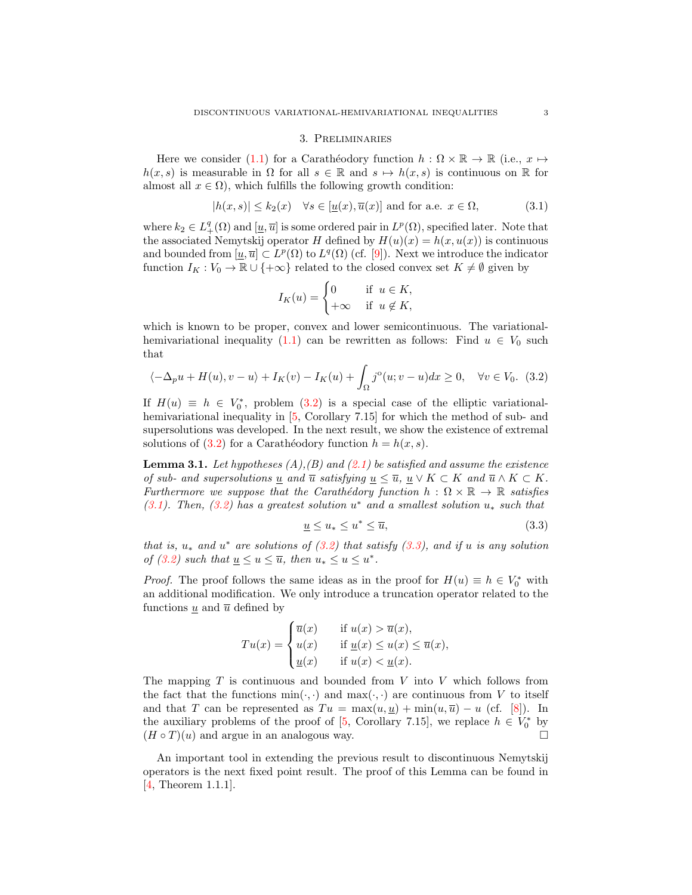## <span id="page-2-1"></span>3. Preliminaries

Here we consider [\(1.1\)](#page-0-0) for a Carathéodory function  $h : \Omega \times \mathbb{R} \to \mathbb{R}$  (i.e.,  $x \mapsto$  $h(x, s)$  is measurable in  $\Omega$  for all  $s \in \mathbb{R}$  and  $s \mapsto h(x, s)$  is continuous on R for almost all  $x \in \Omega$ , which fulfills the following growth condition:

$$
|h(x,s)| \le k_2(x) \quad \forall s \in [\underline{u}(x), \overline{u}(x)] \text{ and for a.e. } x \in \Omega,
$$
\n(3.1)

where  $k_2 \in L^q_+(\Omega)$  and  $[\underline{u}, \overline{u}]$  is some ordered pair in  $L^p(\Omega)$ , specified later. Note that the associated Nemytskij operator H defined by  $H(u)(x) = h(x, u(x))$  is continuous and bounded from  $[\underline{u}, \overline{u}] \subset L^p(\Omega)$  to  $L^q(\Omega)$  (cf. [\[9\]](#page-8-4)). Next we introduce the indicator function  $I_K : V_0 \to \mathbb{R} \cup \{+\infty\}$  related to the closed convex set  $K \neq \emptyset$  given by

<span id="page-2-0"></span>
$$
I_K(u) = \begin{cases} 0 & \text{if } u \in K, \\ +\infty & \text{if } u \notin K, \end{cases}
$$

which is known to be proper, convex and lower semicontinuous. The variational-hemivariational inequality [\(1.1\)](#page-0-0) can be rewritten as follows: Find  $u \in V_0$  such that

$$
\langle -\Delta_p u + H(u), v - u \rangle + I_K(v) - I_K(u) + \int_{\Omega} j^{\circ}(u; v - u) dx \ge 0, \quad \forall v \in V_0. \tag{3.2}
$$

If  $H(u) \equiv h \in V_0^*$ , problem [\(3.2\)](#page-2-0) is a special case of the elliptic variational-hemivariational inequality in [\[5,](#page-8-2) Corollary 7.15] for which the method of sub- and supersolutions was developed. In the next result, we show the existence of extremal solutions of [\(3.2\)](#page-2-0) for a Carathéodory function  $h = h(x, s)$ .

<span id="page-2-3"></span>**Lemma 3.1.** Let hypotheses  $(A)$ ,  $(B)$  and  $(2.1)$  be satisfied and assume the existence of sub- and supersolutions <u>u</u> and  $\overline{u}$  satisfying  $\underline{u} \leq \overline{u}$ ,  $\underline{u} \vee K \subset K$  and  $\overline{u} \wedge K \subset K$ . Furthermore we suppose that the Carathédory function  $h : \Omega \times \mathbb{R} \to \mathbb{R}$  satisfies [\(3.1\)](#page-2-1). Then, [\(3.2\)](#page-2-0) has a greatest solution  $u^*$  and a smallest solution  $u_*$  such that

<span id="page-2-2"></span>
$$
\underline{u} \le u_* \le u^* \le \overline{u},\tag{3.3}
$$

that is,  $u_*$  and  $u^*$  are solutions of  $(3.2)$  that satisfy  $(3.3)$ , and if u is any solution of [\(3.2\)](#page-2-0) such that  $\underline{u} \leq u \leq \overline{u}$ , then  $u_* \leq u \leq u^*$ .

*Proof.* The proof follows the same ideas as in the proof for  $H(u) \equiv h \in V_0^*$  with an additional modification. We only introduce a truncation operator related to the functions  $\underline{u}$  and  $\overline{u}$  defined by

$$
Tu(x) = \begin{cases} \overline{u}(x) & \text{if } u(x) > \overline{u}(x), \\ u(x) & \text{if } \underline{u}(x) \le u(x) \le \overline{u}(x), \\ \underline{u}(x) & \text{if } u(x) < \underline{u}(x). \end{cases}
$$

The mapping  $T$  is continuous and bounded from  $V$  into  $V$  which follows from the fact that the functions  $\min(\cdot, \cdot)$  and  $\max(\cdot, \cdot)$  are continuous from V to itself and that T can be represented as  $Tu = \max(u, u) + \min(u, \overline{u}) - u$  (cf. [\[8\]](#page-8-5)). In the auxiliary problems of the proof of [\[5,](#page-8-2) Corollary 7.15], we replace  $h \in V_0^*$  by  $(H \circ T)(u)$  and argue in an analogous way.

An important tool in extending the previous result to discontinuous Nemytskij operators is the next fixed point result. The proof of this Lemma can be found in [\[4,](#page-8-6) Theorem 1.1.1].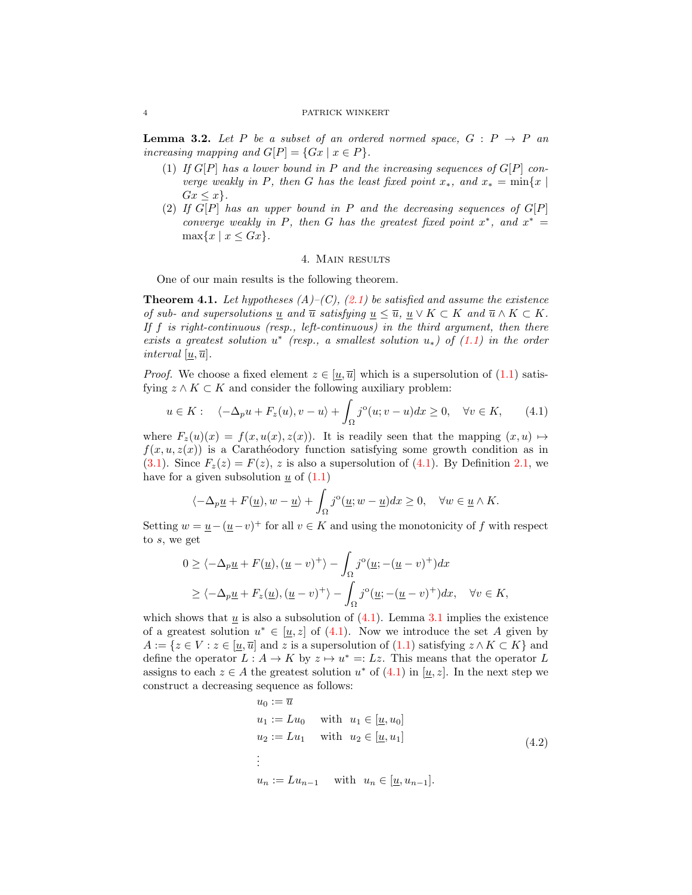<span id="page-3-3"></span>**Lemma 3.2.** Let P be a subset of an ordered normed space,  $G : P \rightarrow P$  an increasing mapping and  $G[P] = \{Gx \mid x \in P\}.$ 

- (1) If  $G[P]$  has a lower bound in P and the increasing sequences of  $G[P]$  converge weakly in P, then G has the least fixed point  $x_*$ , and  $x_* = \min\{x \mid$  $Gx \leq x$ .
- (2) If  $G[P]$  has an upper bound in  $P$  and the decreasing sequences of  $G[P]$ converge weakly in P, then G has the greatest fixed point  $x^*$ , and  $x^* =$  $\max\{x \mid x \leq Gx\}.$

## <span id="page-3-0"></span>4. Main results

One of our main results is the following theorem.

<span id="page-3-2"></span>**Theorem 4.1.** Let hypotheses  $(A)$ – $(C)$ ,  $(2.1)$  be satisfied and assume the existence of sub- and supersolutions u and  $\overline{u}$  satisfying  $u \leq \overline{u}$ ,  $u \vee K \subset K$  and  $\overline{u} \wedge K \subset K$ . If  $f$  is right-continuous (resp., left-continuous) in the third argument, then there exists a greatest solution  $u^*$  (resp., a smallest solution  $u_*$ ) of  $(1.1)$  in the order interval  $[\underline{u}, \overline{u}]$ .

*Proof.* We choose a fixed element  $z \in [\underline{u}, \overline{u}]$  which is a supersolution of (1.[1\)](#page-0-0) satisfying  $z \wedge K \subset K$  and consider the following auxiliary problem:

$$
u \in K: \quad \langle -\Delta_p u + F_z(u), v - u \rangle + \int_{\Omega} j^{\circ}(u; v - u) dx \ge 0, \quad \forall v \in K, \tag{4.1}
$$

where  $F_z(u)(x) = f(x, u(x), z(x))$ . It is readily seen that the mapping  $(x, u) \mapsto$  $f(x, u, z(x))$  is a Caratheodory function satisfying some growth condition as in [\(3.1\)](#page-2-1). Since  $F_z(z) = F(z)$ , z is also a supersolution of [\(4.1\)](#page-3-0). By Definition [2.1,](#page-1-1) we have for a given subsolution  $\underline{u}$  of  $(1.1)$ 

$$
\langle -\Delta_p \underline{u} + F(\underline{u}), w - \underline{u} \rangle + \int_{\Omega} j^{\circ}(\underline{u}; w - \underline{u}) dx \ge 0, \quad \forall w \in \underline{u} \wedge K.
$$

Setting  $w = \underline{u} - (\underline{u} - v)^+$  for all  $v \in K$  and using the monotonicity of f with respect to s, we get

$$
0 \ge \langle -\Delta_p \underline{u} + F(\underline{u}), (\underline{u} - v)^+ \rangle - \int_{\Omega} j^{\circ} (\underline{u}; -(\underline{u} - v)^+) dx
$$
  
 
$$
\ge \langle -\Delta_p \underline{u} + F_z(\underline{u}), (\underline{u} - v)^+ \rangle - \int_{\Omega} j^{\circ} (\underline{u}; -(\underline{u} - v)^+) dx, \quad \forall v \in K,
$$

which shows that  $\underline{u}$  is also a subsolution of  $(4.1)$  $(4.1)$ . Lemma [3.1](#page-2-3) implies the existence of a greatest solution  $u^* \in [\underline{u}, z]$  of [\(4.1\)](#page-3-0). Now we introduce the set A given by  $A := \{z \in V : z \in [u, \overline{u}] \text{ and } z \text{ is a supersolution of (1.1) satisfying } z \wedge K \subset K \}$  $A := \{z \in V : z \in [u, \overline{u}] \text{ and } z \text{ is a supersolution of (1.1) satisfying } z \wedge K \subset K \}$  $A := \{z \in V : z \in [u, \overline{u}] \text{ and } z \text{ is a supersolution of (1.1) satisfying } z \wedge K \subset K \}$  and define the operator  $L : A \to K$  by  $z \mapsto u^* =: Lz$ . This means that the operator L assigns to each  $z \in A$  the greatest solution  $u^*$  of  $(4.1)$  in  $[u, z]$ . In the next step we construct a decreasing sequence as follows:

<span id="page-3-1"></span>
$$
u_0 := \overline{u}
$$
  
\n
$$
u_1 := Lu_0 \quad \text{with} \quad u_1 \in [\underline{u}, u_0]
$$
  
\n
$$
u_2 := Lu_1 \quad \text{with} \quad u_2 \in [\underline{u}, u_1]
$$
  
\n
$$
\vdots
$$
  
\n
$$
u_n := Lu_{n-1} \quad \text{with} \quad u_n \in [\underline{u}, u_{n-1}].
$$
\n(4.2)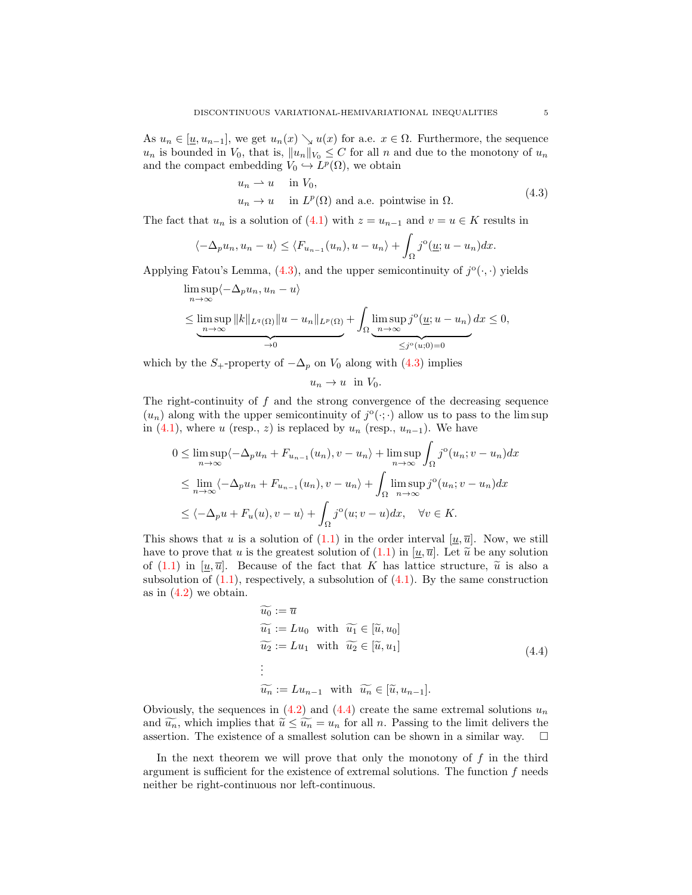As  $u_n \in [\underline{u}, u_{n-1}]$ , we get  $u_n(x) \searrow u(x)$  for a.e.  $x \in \Omega$ . Furthermore, the sequence  $u_n$  is bounded in  $V_0$ , that is,  $||u_n||_{V_0} \leq C$  for all n and due to the monotony of  $u_n$ and the compact embedding  $V_0 \hookrightarrow L^p(\Omega)$ , we obtain

<span id="page-4-0"></span>
$$
u_n \rightharpoonup u
$$
 in  $V_0$ ,  
\n $u_n \to u$  in  $L^p(\Omega)$  and a.e. pointwise in  $\Omega$ . (4.3)

The fact that  $u_n$  is a solution of [\(4.1\)](#page-3-0) with  $z = u_{n-1}$  and  $v = u \in K$  results in

$$
\langle -\Delta_p u_n, u_n - u \rangle \le \langle F_{u_{n-1}}(u_n), u - u_n \rangle + \int_{\Omega} j^{\circ}(\underline{u}; u - u_n) dx.
$$

Applying Fatou's Lemma,  $(4.3)$ , and the upper semicontinuity of  $j^{\circ}(\cdot, \cdot)$  yields

$$
\limsup_{n \to \infty} \langle -\Delta_p u_n, u_n - u \rangle
$$
\n
$$
\leq \limsup_{n \to \infty} ||k||_{L^q(\Omega)} ||u - u_n||_{L^p(\Omega)} + \int_{\Omega} \limsup_{n \to \infty} j^o(\underline{u}; u - u_n) dx \leq 0,
$$
\n
$$
\xrightarrow[\alpha, \infty]{} 0
$$

which by the  $S_+$ -property of  $-\Delta_p$  on  $V_0$  along with [\(4.3\)](#page-4-0) implies

$$
u_n \to u \text{ in } V_0.
$$

The right-continuity of f and the strong convergence of the decreasing sequence  $(u_n)$  along with the upper semicontinuity of  $j^{\circ}(\cdot;\cdot)$  allow us to pass to the lim sup in [\(4.1\)](#page-3-0), where u (resp., z) is replaced by  $u_n$  (resp.,  $u_{n-1}$ ). We have

$$
0 \leq \limsup_{n \to \infty} \langle -\Delta_p u_n + F_{u_{n-1}}(u_n), v - u_n \rangle + \limsup_{n \to \infty} \int_{\Omega} j^{\circ}(u_n; v - u_n) dx
$$
  
\n
$$
\leq \lim_{n \to \infty} \langle -\Delta_p u_n + F_{u_{n-1}}(u_n), v - u_n \rangle + \int_{\Omega} \limsup_{n \to \infty} j^{\circ}(u_n; v - u_n) dx
$$
  
\n
$$
\leq \langle -\Delta_p u + F_u(u), v - u \rangle + \int_{\Omega} j^{\circ}(u; v - u) dx, \quad \forall v \in K.
$$

This shows that u is a solution of [\(1.1\)](#page-0-0) in the order interval  $[u, \overline{u}]$ . Now, we still have to prove that u is the greatest solution of  $(1.1)$  in  $[u,\overline{u}]$ . Let  $\widetilde{u}$  be any solution of [\(1.1\)](#page-0-0) in  $[u,\overline{u}]$ . Because of the fact that K has lattice structure,  $\tilde{u}$  is also a subsolution of  $(1.1)$ , respectively, a subsolution of  $(4.1)$ . By the same construction as in  $(4.2)$  we obtain.

<span id="page-4-1"></span>
$$
\widetilde{u_0} := \overline{u}
$$
\n
$$
\widetilde{u_1} := Lu_0 \quad \text{with} \quad \widetilde{u_1} \in [\widetilde{u}, u_0]
$$
\n
$$
\widetilde{u_2} := Lu_1 \quad \text{with} \quad \widetilde{u_2} \in [\widetilde{u}, u_1]
$$
\n
$$
\vdots
$$
\n
$$
\widetilde{u_n} := Lu_{n-1} \quad \text{with} \quad \widetilde{u_n} \in [\widetilde{u}, u_{n-1}].
$$
\n(4.4)

Obviously, the sequences in [\(4.2\)](#page-3-1) and [\(4.4\)](#page-4-1) create the same extremal solutions  $u_n$ and  $\widetilde{u_n}$ , which implies that  $\widetilde{u} \le \widetilde{u_n} = u_n$  for all n. Passing to the limit delivers the assertion. The existence of a smallest solution can be shown in a similar way. assertion. The existence of a smallest solution can be shown in a similar way.

In the next theorem we will prove that only the monotony of  $f$  in the third argument is sufficient for the existence of extremal solutions. The function  $f$  needs neither be right-continuous nor left-continuous.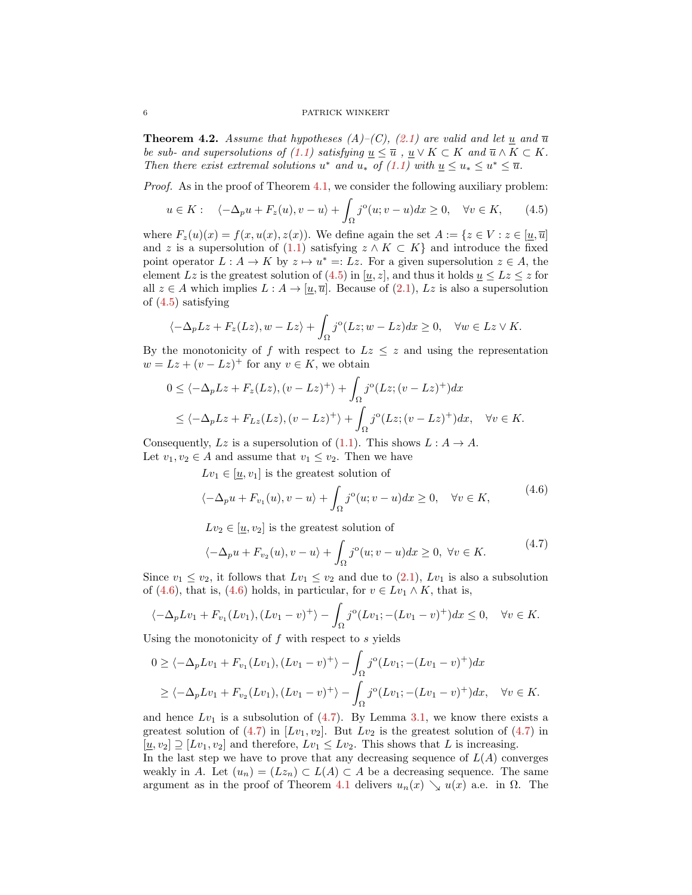<span id="page-5-3"></span>**Theorem 4.2.** Assume that hypotheses  $(A)$ – $(C)$ ,  $(2.1)$  are valid and let  $\underline{u}$  and  $\overline{u}$ be sub- and supersolutions of [\(1.1\)](#page-0-0) satisfying  $\underline{u} \leq \overline{u}$ ,  $\underline{u} \vee K \subset K$  and  $\overline{u} \wedge K \subset K$ . Then there exist extremal solutions  $u^*$  and  $u_*$  of  $(1.1)$  with  $\underline{u} \le u_* \le u^* \le \overline{u}$ .

Proof. As in the proof of Theorem [4.1,](#page-3-2) we consider the following auxiliary problem:

<span id="page-5-0"></span>
$$
u \in K: \quad \langle -\Delta_p u + F_z(u), v - u \rangle + \int_{\Omega} j^{\circ}(u; v - u) dx \ge 0, \quad \forall v \in K, \qquad (4.5)
$$

where  $F_z(u)(x) = f(x, u(x), z(x))$ . We define again the set  $A := \{z \in V : z \in [\underline{u}, \overline{u}]\}$ and z is a supersolution of  $(1.1)$  $(1.1)$  satisfying  $z \wedge K \subset K$  and introduce the fixed point operator  $L : A \to K$  by  $z \mapsto u^* =: Lz$ . For a given supersolution  $z \in A$ , the element Lz is the greatest solution of (4.[5\)](#page-5-0) in [ $\underline{u}, \underline{z}$ ], and thus it holds  $\underline{u} \leq Lz \leq z$  for all  $z \in A$  which implies  $L : A \to [\underline{u}, \overline{u}]$ . Because of  $(2.1)$ ,  $Lz$  is also a supersolution of [\(4.5\)](#page-5-0) satisfying

$$
\langle -\Delta_p L z + F_z(Lz), w - Lz \rangle + \int_{\Omega} j^{\circ}(Lz; w - Lz) dx \ge 0, \quad \forall w \in Lz \vee K.
$$

By the monotonicity of f with respect to  $Lz \leq z$  and using the representation  $w = Lz + (v - Lz)^{+}$  for any  $v \in K$ , we obtain

$$
0 \le \langle -\Delta_p L z + F_z(Lz), (v - Lz)^+ \rangle + \int_{\Omega} j^{\circ}(Lz; (v - Lz)^+) dx
$$
  

$$
\le \langle -\Delta_p L z + F_{Lz}(Lz), (v - Lz)^+ \rangle + \int_{\Omega} j^{\circ}(Lz; (v - Lz)^+) dx, \quad \forall v \in K.
$$

Consequently, Lz is a supersolution of  $(1.1)$ . This shows  $L : A \rightarrow A$ . Let  $v_1, v_2 \in A$  and assume that  $v_1 \le v_2$ . Then we have

 $Lv_1 \in [u, v_1]$  is the greatest solution of

<span id="page-5-1"></span>
$$
\langle -\Delta_p u + F_{v_1}(u), v - u \rangle + \int_{\Omega} j^{\circ}(u; v - u) dx \ge 0, \quad \forall v \in K,
$$
\n(4.6)

 $Lv_2 \in [\underline{u}, v_2]$  is the greatest solution of

<span id="page-5-2"></span>
$$
\langle -\Delta_p u + F_{v_2}(u), v - u \rangle + \int_{\Omega} j^{\circ}(u; v - u) dx \ge 0, \ \forall v \in K. \tag{4.7}
$$

Since  $v_1 \le v_2$ , it follows that  $Lv_1 \le v_2$  and due to  $(2.1)$ ,  $Lv_1$  is also a subsolution of [\(4.6\)](#page-5-1), that is, (4.6) holds, in particular, for  $v \in Lv_1 \wedge K$ , that is,

$$
\langle -\Delta_p Lv_1 + F_{v_1}(Lv_1), (Lv_1 - v)^+ \rangle - \int_{\Omega} j^{\circ} (Lv_1; -(Lv_1 - v)^+) dx \le 0, \quad \forall v \in K.
$$

Using the monotonicity of  $f$  with respect to  $s$  yields

$$
0 \ge \langle -\Delta_p L v_1 + F_{v_1}(L v_1), (L v_1 - v)^+ \rangle - \int_{\Omega} j^{\circ} (L v_1; -(L v_1 - v)^+) dx
$$
  
 
$$
\ge \langle -\Delta_p L v_1 + F_{v_2}(L v_1), (L v_1 - v)^+ \rangle - \int_{\Omega} j^{\circ} (L v_1; -(L v_1 - v)^+) dx, \quad \forall v \in K.
$$

and hence  $Lv_1$  is a subsolution of [\(4.7\)](#page-5-2). By Lemma [3.1,](#page-2-3) we know there exists a greatest solution of  $(4.7)$  in  $[Lv_1, v_2]$ . But  $Lv_2$  is the greatest solution of  $(4.7)$  in  $[u, v_2] \supseteq [Lv_1, v_2]$  and therefore,  $Lv_1 \leq Lv_2$ . This shows that L is increasing.

In the last step we have to prove that any decreasing sequence of  $L(A)$  converges weakly in A. Let  $(u_n) = (Lz_n) \subset L(A) \subset A$  be a decreasing sequence. The same argument as in the proof of Theorem [4.1](#page-3-2) delivers  $u_n(x) \searrow u(x)$  a.e. in  $\Omega$ . The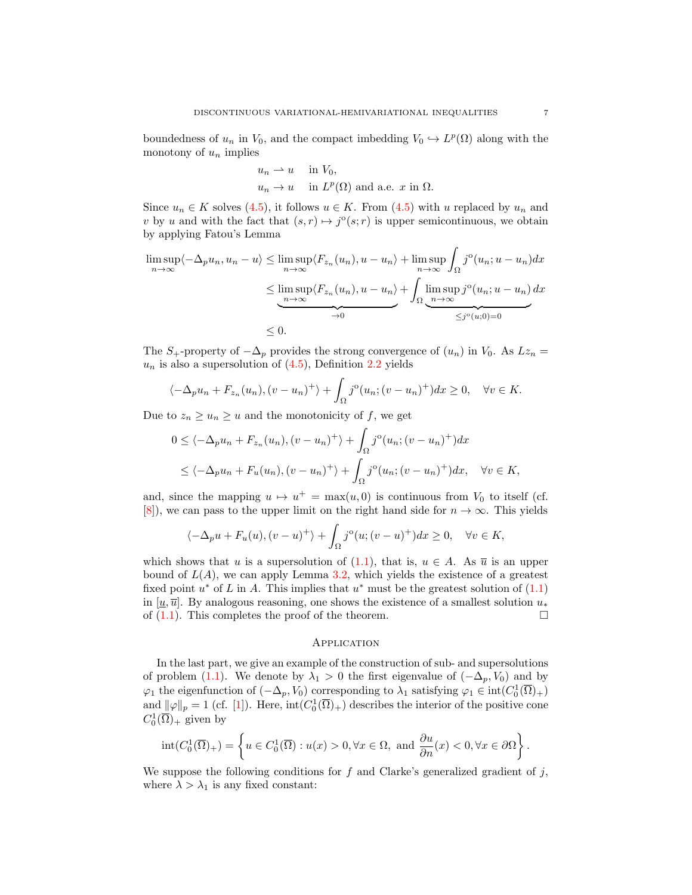boundedness of  $u_n$  in  $V_0$ , and the compact imbedding  $V_0 \hookrightarrow L^p(\Omega)$  along with the monotony of  $u_n$  implies

$$
u_n \rightharpoonup u
$$
 in  $V_0$ ,  
\n $u_n \rightharpoonup u$  in  $L^p(\Omega)$  and a.e. x in  $\Omega$ .

Since  $u_n \in K$  solves [\(4.5\)](#page-5-0), it follows  $u \in K$ . From (4.5) with u replaced by  $u_n$  and v by u and with the fact that  $(s, r) \mapsto j^{\circ}(s; r)$  is upper semicontinuous, we obtain by applying Fatou's Lemma

$$
\limsup_{n \to \infty} \langle -\Delta_p u_n, u_n - u \rangle \le \limsup_{n \to \infty} \langle F_{z_n}(u_n), u - u_n \rangle + \limsup_{n \to \infty} \int_{\Omega} j^{\circ}(u_n; u - u_n) dx
$$
  

$$
\le \limsup_{n \to \infty} \langle F_{z_n}(u_n), u - u_n \rangle + \int_{\Omega} \underbrace{\limsup_{n \to \infty} j^{\circ}(u_n; u - u_n)}_{\le j^{\circ}(u; 0) = 0} dx
$$
  

$$
\le 0.
$$

The  $S_+$ -property of  $-\Delta_p$  provides the strong convergence of  $(u_n)$  in  $V_0$ . As  $Lz_n =$  $u_n$  is also a supersolution of  $(4.5)$ , Definition [2.2](#page-1-2) yields

$$
\langle -\Delta_p u_n + F_{z_n}(u_n), (v - u_n)^+ \rangle + \int_{\Omega} j^{\circ}(u_n; (v - u_n)^+) dx \ge 0, \quad \forall v \in K.
$$

Due to  $z_n \geq u_n \geq u$  and the monotonicity of f, we get

$$
0 \le \langle -\Delta_p u_n + F_{z_n}(u_n), (v - u_n)^+ \rangle + \int_{\Omega} j^{\circ}(u_n; (v - u_n)^+) dx
$$
  

$$
\le \langle -\Delta_p u_n + F_u(u_n), (v - u_n)^+ \rangle + \int_{\Omega} j^{\circ}(u_n; (v - u_n)^+) dx, \quad \forall v \in K,
$$

and, since the mapping  $u \mapsto u^+ = \max(u, 0)$  is continuous from  $V_0$  to itself (cf. [\[8\]](#page-8-5)), we can pass to the upper limit on the right hand side for  $n \to \infty$ . This yields

$$
\langle -\Delta_p u + F_u(u), (v-u)^+ \rangle + \int_{\Omega} j^{\circ}(u; (v-u)^+) dx \ge 0, \quad \forall v \in K,
$$

which shows that u is a supersolution of [\(1.1\)](#page-0-0), that is,  $u \in A$ . As  $\overline{u}$  is an upper bound of  $L(A)$ , we can apply Lemma [3.2,](#page-3-3) which yields the existence of a greatest fixed point  $u^*$  of L in A. This implies that  $u^*$  must be the greatest solution of  $(1.1)$ in [ $\underline{u}, \overline{u}$ ]. By analogous reasoning, one shows the existence of a smallest solution  $u_*$ of  $(1.1)$ . This completes the proof of the theorem.

#### **APPLICATION**

In the last part, we give an example of the construction of sub- and supersolutions of problem [\(1.1\)](#page-0-0). We denote by  $\lambda_1 > 0$  the first eigenvalue of  $(-\Delta_p, V_0)$  and by  $\varphi_1$  the eigenfunction of  $(-\Delta_p, V_0)$  corresponding to  $\lambda_1$  satisfying  $\varphi_1 \in \text{int}(C_0^1(\overline{\Omega})_+)$ and  $\|\varphi\|_p = 1$  (cf. [\[1\]](#page-8-7)). Here,  $\text{int}(C_0^1(\overline{\Omega})_+)$  describes the interior of the positive cone  $C_0^1(\overline{\Omega})_+$  given by

$$
\operatorname{int}(C_0^1(\overline{\Omega})_+) = \left\{ u \in C_0^1(\overline{\Omega}) : u(x) > 0, \forall x \in \Omega, \text{ and } \frac{\partial u}{\partial n}(x) < 0, \forall x \in \partial \Omega \right\}.
$$

We suppose the following conditions for  $f$  and Clarke's generalized gradient of  $j$ , where  $\lambda > \lambda_1$  is any fixed constant: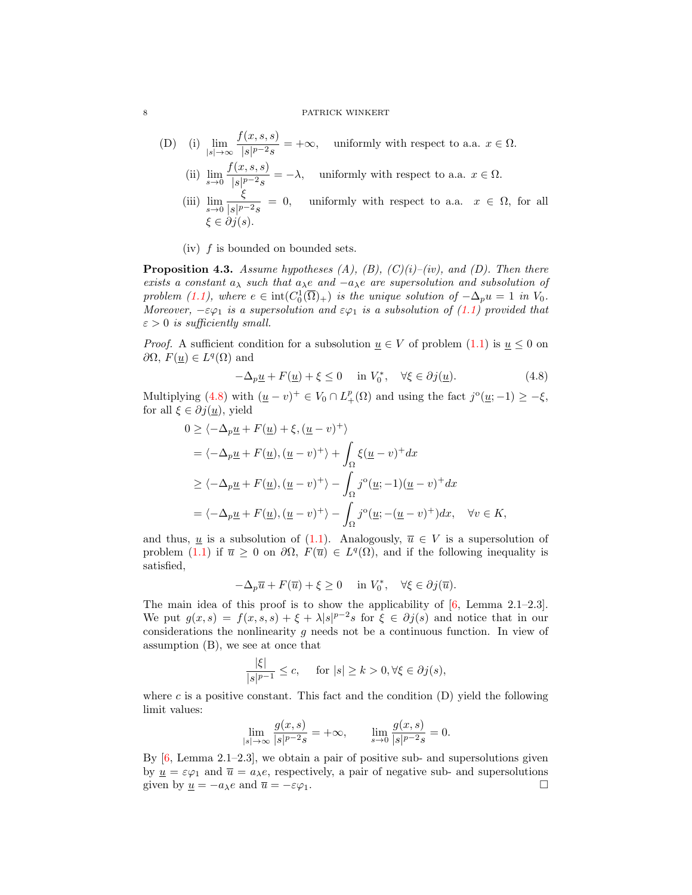- (D) (i)  $\lim_{|s|\to\infty}$  $f(x, s, s)$  $\frac{\partial}{\partial s|p^{-2}s}$  = + $\infty$ , uniformly with respect to a.a.  $x \in \Omega$ .
	- (ii)  $\lim_{s \to 0} \frac{f(x, s, s)}{|s|^{p-2} s}$  $\frac{d(x, b, b)}{|s|^{p-2}s} = -\lambda$ , uniformly with respect to a.a.  $x \in \Omega$ .
	- (iii)  $\lim_{s \to 0} \frac{\xi}{|s|^p}$  $\frac{S}{|s|^{p-2}s} = 0$ , uniformly with respect to a.a.  $x \in \Omega$ , for all  $\xi \in \partial i(s)$ .
	- (iv) f is bounded on bounded sets.

<span id="page-7-1"></span>**Proposition 4.3.** Assume hypotheses  $(A)$ ,  $(B)$ ,  $(C)(i)-(iv)$ , and  $(D)$ . Then there exists a constant  $a_{\lambda}$  such that  $a_{\lambda}e$  and  $-a_{\lambda}e$  are supersolution and subsolution of problem [\(1.1\)](#page-0-0), where  $e \in \text{int}(C_0^1(\overline{\Omega})_+)$  is the unique solution of  $-\Delta_p u = 1$  in  $V_0$ . Moreover,  $-\varepsilon\varphi_1$  is a supersolution and  $\varepsilon\varphi_1$  is a subsolution of [\(1.1\)](#page-0-0) provided that  $\varepsilon > 0$  is sufficiently small.

*Proof.* A sufficient condition for a subsolution  $u \in V$  of problem [\(1.1\)](#page-0-0) is  $u \leq 0$  on  $\partial\Omega$ ,  $F(\underline{u}) \in L^q(\Omega)$  and

<span id="page-7-0"></span>
$$
-\Delta_p \underline{u} + F(\underline{u}) + \xi \le 0 \quad \text{in } V_0^*, \quad \forall \xi \in \partial j(\underline{u}).\tag{4.8}
$$

Multiplying [\(4.8\)](#page-7-0) with  $(\underline{u}-v)^+ \in V_0 \cap L^p_+(\Omega)$  and using the fact  $j^{\circ}(\underline{u};-1) \geq -\xi$ , for all  $\xi \in \partial j(\underline{u})$ , yield

$$
0 \ge \langle -\Delta_p \underline{u} + F(\underline{u}) + \xi, (\underline{u} - v)^+ \rangle
$$
  
=  $\langle -\Delta_p \underline{u} + F(\underline{u}), (\underline{u} - v)^+ \rangle + \int_{\Omega} \xi(\underline{u} - v)^+ dx$   
 $\ge \langle -\Delta_p \underline{u} + F(\underline{u}), (\underline{u} - v)^+ \rangle - \int_{\Omega} j^{\circ}(\underline{u}; -1)(\underline{u} - v)^+ dx$   
=  $\langle -\Delta_p \underline{u} + F(\underline{u}), (\underline{u} - v)^+ \rangle - \int_{\Omega} j^{\circ}(\underline{u}; -(\underline{u} - v)^+) dx, \quad \forall v \in K,$ 

and thus, <u>u</u> is a subsolution of [\(1.1\)](#page-0-0). Analogously,  $\overline{u} \in V$  is a supersolution of problem [\(1.1\)](#page-0-0) if  $\overline{u} \geq 0$  on  $\partial\Omega$ ,  $F(\overline{u}) \in L^q(\Omega)$ , and if the following inequality is satisfied,

$$
-\Delta_p\overline{u}+F(\overline{u})+\xi\geq 0\quad\hbox{ in }V_0^*,\quad\forall\xi\in\partial j(\overline{u}).
$$

The main idea of this proof is to show the applicability of  $[6, \text{ Lemma } 2.1-2.3].$  $[6, \text{ Lemma } 2.1-2.3].$ We put  $g(x, s) = f(x, s, s) + \xi + \lambda |s|^{p-2} s$  for  $\xi \in \partial j(s)$  and notice that in our considerations the nonlinearity g needs not be a continuous function. In view of assumption (B), we see at once that

$$
\frac{|\xi|}{|s|^{p-1}} \le c, \quad \text{ for } |s| \ge k > 0, \forall \xi \in \partial j(s),
$$

where c is a positive constant. This fact and the condition  $(D)$  yield the following limit values:

$$
\lim_{|s| \to \infty} \frac{g(x, s)}{|s|^{p-2} s} = +\infty, \qquad \lim_{s \to 0} \frac{g(x, s)}{|s|^{p-2} s} = 0.
$$

By  $[6, \text{Lemma } 2.1-2.3]$  $[6, \text{Lemma } 2.1-2.3]$ , we obtain a pair of positive sub- and supersolutions given by  $u = \varepsilon \varphi_1$  and  $\overline{u} = a_{\lambda}e$ , respectively, a pair of negative sub- and supersolutions given by  $\underline{u} = -a_{\lambda}e$  and  $\overline{u} = -\varepsilon\varphi_1$ .